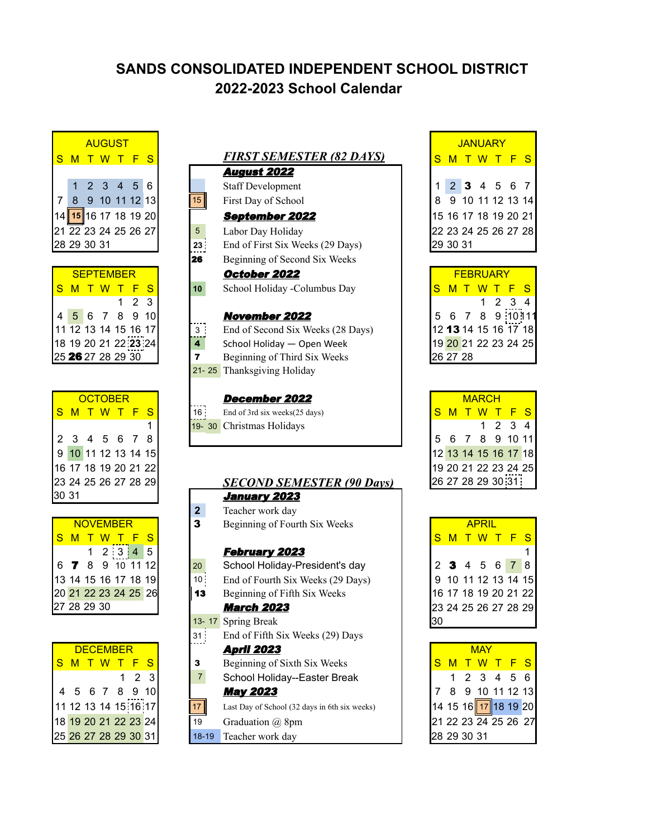## **SANDS CONSOLIDATED INDEPENDENT SCHOOL DISTRICT 2022-2023 School Calendar**



| <b>SEPTEMBER</b>                                    |  |  |  |       |   |  |  |  |  |  |  |  |  |
|-----------------------------------------------------|--|--|--|-------|---|--|--|--|--|--|--|--|--|
| <mark>S M T W T F</mark>                            |  |  |  |       | S |  |  |  |  |  |  |  |  |
|                                                     |  |  |  | 1 2 3 |   |  |  |  |  |  |  |  |  |
| 4 <mark>5</mark> 6 7 8 9 10<br>11 12 13 14 15 16 17 |  |  |  |       |   |  |  |  |  |  |  |  |  |
|                                                     |  |  |  |       |   |  |  |  |  |  |  |  |  |
| 18 19 20 21 22 23 24                                |  |  |  |       |   |  |  |  |  |  |  |  |  |
| 25 26 27 28 29 30                                   |  |  |  |       |   |  |  |  |  |  |  |  |  |

|       |                      |  | <b>OCTOBER</b> |   |
|-------|----------------------|--|----------------|---|
|       | S M T W T F S        |  |                |   |
|       |                      |  |                | 1 |
|       | 2 3 4 5 6 7 8        |  |                |   |
|       | 9 10 11 12 13 14 15  |  |                |   |
|       | 16 17 18 19 20 21 22 |  |                |   |
|       | 23 24 25 26 27 28 29 |  |                |   |
| 30 31 |                      |  |                |   |

| <b>NOVEMBER</b> |  |  |  |                                                                                 |  |  |  |  |  |  |  |  |  |
|-----------------|--|--|--|---------------------------------------------------------------------------------|--|--|--|--|--|--|--|--|--|
|                 |  |  |  | S M T W T F S                                                                   |  |  |  |  |  |  |  |  |  |
|                 |  |  |  | $1 \t2 \t3 \t4 \t5$                                                             |  |  |  |  |  |  |  |  |  |
|                 |  |  |  |                                                                                 |  |  |  |  |  |  |  |  |  |
|                 |  |  |  | 6 7 8 9 10 11 12<br>13 14 15 16 17 18 19<br>20 21 22 23 24 25 26<br>27 28 29 30 |  |  |  |  |  |  |  |  |  |
|                 |  |  |  |                                                                                 |  |  |  |  |  |  |  |  |  |
|                 |  |  |  |                                                                                 |  |  |  |  |  |  |  |  |  |

| <b>DECEMBER</b> |  |  |  |                                                                                                     |     |  |  |  |  |  |  |
|-----------------|--|--|--|-----------------------------------------------------------------------------------------------------|-----|--|--|--|--|--|--|
|                 |  |  |  | <mark>S M T W T F S</mark>                                                                          |     |  |  |  |  |  |  |
|                 |  |  |  |                                                                                                     | 123 |  |  |  |  |  |  |
|                 |  |  |  |                                                                                                     |     |  |  |  |  |  |  |
|                 |  |  |  | 4 5 6 7 8 9 10<br>11 12 13 14 15 16 17<br>18 <mark>19 20 21 22 23</mark> 24<br>25 26 27 28 29 30 31 |     |  |  |  |  |  |  |
|                 |  |  |  |                                                                                                     |     |  |  |  |  |  |  |
|                 |  |  |  |                                                                                                     |     |  |  |  |  |  |  |

|    |                                      |                  | <b>AUGUST</b> |                |   |    |                 |                                   |   |          | <b>JANUARY</b>       |              |               |         |   |
|----|--------------------------------------|------------------|---------------|----------------|---|----|-----------------|-----------------------------------|---|----------|----------------------|--------------|---------------|---------|---|
|    | S M                                  |                  | W T           |                | F | S  |                 | <u>FIRST SEMESTER (82 DAYS)</u>   | S |          |                      | W            |               |         | S |
|    |                                      |                  |               |                |   |    |                 | <b>August 2022</b>                |   |          |                      |              |               |         |   |
|    |                                      | $\mathcal{P}$    | 3             | $\overline{4}$ | 5 | 6  |                 | <b>Staff Development</b>          |   | 2        | 3                    |              | 5             | 6       |   |
|    | 8                                    |                  | 9 10 11 12 13 |                |   |    | 15              | First Day of School               |   |          | 9 10 11 12 13 14     |              |               |         |   |
|    | 14 <mark>∥15</mark> ∥16 17 18 19 20∣ |                  |               |                |   |    |                 | <b>September 2022</b>             |   |          | 15 16 17 18 19 20 21 |              |               |         |   |
|    | 21 22 23 24 25 26 27                 |                  |               |                |   |    | 5               | Labor Day Holiday                 |   |          | 22 23 24 25 26 27 28 |              |               |         |   |
|    | 28 29 30 31                          |                  |               |                |   |    | 23 <sup>1</sup> | End of First Six Weeks (29 Days)  |   | 29 30 31 |                      |              |               |         |   |
|    |                                      |                  |               |                |   |    | 26              | Beginning of Second Six Weeks     |   |          |                      |              |               |         |   |
|    |                                      | <b>SEPTEMBER</b> |               |                |   |    |                 | October 2022                      |   |          | <b>FEBRUARY</b>      |              |               |         |   |
|    | S M                                  |                  |               |                |   | S  | 10 <sup>1</sup> | School Holiday -Columbus Day      | S |          |                      |              |               |         |   |
|    |                                      |                  |               |                | 2 | 3  |                 |                                   |   |          |                      |              | $\mathcal{P}$ | 3       |   |
|    | 5                                    | 6                |               | 8              | 9 | 10 |                 | <b>November 2022</b>              | 5 | 6        | 7                    | 8            |               | 9 10 11 |   |
|    | 11 12 13 14 15 16 17                 |                  |               |                |   |    | 3:              | End of Second Six Weeks (28 Days) |   |          | 12 13 14 15 16 17 18 |              |               |         |   |
|    | 18 19 20 21 22 23 24                 |                  |               |                |   |    | 4               | School Holiday - Open Week        |   |          | 19 20 21 22 23 24 25 |              |               |         |   |
|    | 25 26 27 28 29 30                    |                  |               |                |   |    | 7               | Beginning of Third Six Weeks      |   | 26 27 28 |                      |              |               |         |   |
|    |                                      |                  |               |                |   |    | $21 - 25$       | Thanksgiving Holiday              |   |          |                      |              |               |         |   |
|    |                                      |                  |               |                |   |    |                 |                                   |   |          |                      |              |               |         |   |
|    |                                      | <b>OCTOBER</b>   |               |                |   |    |                 | December 2022                     |   |          |                      | <b>MARCH</b> |               |         |   |
| S. | M                                    |                  | W             |                |   | S  | 16:             | End of 3rd six weeks(25 days)     | S | м        |                      | w            |               |         | S |

## **SECOND SEMESTER (90 Days) January 2023**

- 
- **2** Teacher work day<br>**3** Beginning of Four Beginning of Fourth Six Weeks

## **February 2023**

20 School Holiday-President's day 10 End of Fourth Six Weeks (29 Days) **13** Beginning of Fifth Six Weeks **March 2023** 13- 17 Spring Break 31 End of Fifth Six Weeks (29) Days **April 2023 3** Beginning of Sixth Six Weeks 7 School Holiday--Easter Break **May 2023** 17  $\parallel$  Last Day of School (32 days in 6th six weeks) 19 Graduation  $\omega$  8pm 18-19 Teacher work day

|   | JANUARY |  |                                 |  |  |  |  |  |  |  |  |  |  |  |
|---|---------|--|---------------------------------|--|--|--|--|--|--|--|--|--|--|--|
|   |         |  | <mark>S M T W T F S</mark>      |  |  |  |  |  |  |  |  |  |  |  |
|   |         |  |                                 |  |  |  |  |  |  |  |  |  |  |  |
|   |         |  |                                 |  |  |  |  |  |  |  |  |  |  |  |
| 8 |         |  | 2 3 4 5 6 7<br>9 10 11 12 13 14 |  |  |  |  |  |  |  |  |  |  |  |
|   |         |  | 15 16 17 18 19 20 21            |  |  |  |  |  |  |  |  |  |  |  |
|   |         |  | 22 23 24 25 26 27 28            |  |  |  |  |  |  |  |  |  |  |  |
|   | 30 31   |  |                                 |  |  |  |  |  |  |  |  |  |  |  |

|   | <b>FFBRUARY</b>          |  |  |  |      |               |  |  |  |  |  |  |  |
|---|--------------------------|--|--|--|------|---------------|--|--|--|--|--|--|--|
|   | <mark>S M T W T F</mark> |  |  |  |      | $\bullet$     |  |  |  |  |  |  |  |
|   |                          |  |  |  | 1234 |               |  |  |  |  |  |  |  |
| 5 |                          |  |  |  |      | 6 7 8 9 10 11 |  |  |  |  |  |  |  |
|   | 12 13 14 15 16 17 18     |  |  |  |      |               |  |  |  |  |  |  |  |
|   | 19 20 21 22 23 24 25     |  |  |  |      |               |  |  |  |  |  |  |  |
|   | 26 27 28                 |  |  |  |      |               |  |  |  |  |  |  |  |

| <b>OCTOBER</b>       | <b>December 2022</b>                 |  | <b>MARCH</b> |                      |  |
|----------------------|--------------------------------------|--|--------------|----------------------|--|
| S M T W T            | 16:<br>End of 3rd six weeks(25 days) |  |              | M T W T F S I        |  |
|                      | 19-30 Christmas Holidays             |  |              | 2 3                  |  |
| 2 3 4 5 6 7          |                                      |  |              | 5 6 7 8 9 10 11      |  |
| 9 10 11 12 13 14 15  |                                      |  |              | 12 13 14 15 16 17 18 |  |
| 16 17 18 19 20 21 22 |                                      |  |              | 19 20 21 22 23 24 25 |  |
| 23 24 25 26 27 28 29 | <b>SECOND SEMESTER (90 Days)</b>     |  |              | 26 27 28 29 30 31    |  |
|                      |                                      |  |              |                      |  |

|  |                      |                 |          |     | TVAVIIVE WUIK UU V                |     |  |               |  |                      |
|--|----------------------|-----------------|----------|-----|-----------------------------------|-----|--|---------------|--|----------------------|
|  | <b>NOVEMBER</b>      |                 |          | 3   | Beginning of Fourth Six Weeks     |     |  | <b>APRIL</b>  |  |                      |
|  | S M T W T F S        |                 |          |     |                                   | S.  |  | M T W T F S   |  |                      |
|  |                      | $1 \t2 \t3 \t4$ | <b>5</b> |     | <b>February 2023</b>              |     |  |               |  |                      |
|  | 6 7 8 9 10 11 12     |                 |          | 20  | School Holiday-President's day    |     |  | 2 3 4 5 6 7 8 |  |                      |
|  | 13 14 15 16 17 18 19 |                 |          | 10: | End of Fourth Six Weeks (29 Days) |     |  |               |  | 9 10 11 12 13 14 15  |
|  | 20 21 22 23 24 25 26 |                 |          | 13  | Beginning of Fifth Six Weeks      |     |  |               |  | 16 17 18 19 20 21 22 |
|  | 27 28 29 30          |                 |          |     | <b>March 2023</b>                 |     |  |               |  | 23 24 25 26 27 28 29 |
|  |                      |                 |          |     | 13-17 Spring Break                | 130 |  |               |  |                      |
|  |                      |                 |          |     |                                   |     |  |               |  |                      |

| <b>MAY</b>  |  |                      |  |  |  |  |  |  |  |  |  |  |
|-------------|--|----------------------|--|--|--|--|--|--|--|--|--|--|
|             |  | S M T W T F S        |  |  |  |  |  |  |  |  |  |  |
|             |  | 1 2 3 4 5 6          |  |  |  |  |  |  |  |  |  |  |
|             |  | 7 8 9 10 11 12 13    |  |  |  |  |  |  |  |  |  |  |
|             |  | 14 15 16 17 18 19 20 |  |  |  |  |  |  |  |  |  |  |
|             |  | 21 22 23 24 25 26 27 |  |  |  |  |  |  |  |  |  |  |
| 28 29 30 31 |  |                      |  |  |  |  |  |  |  |  |  |  |